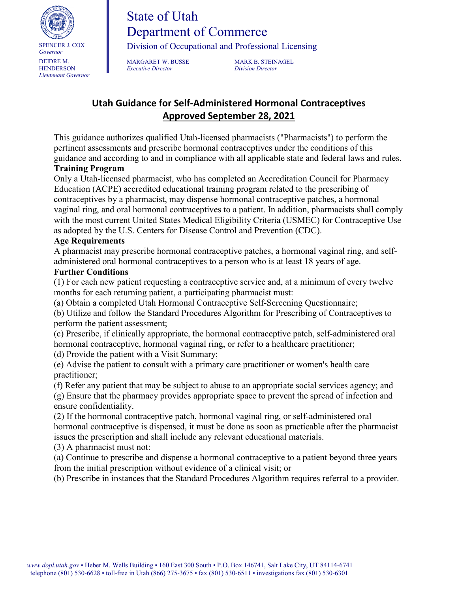

# State of Utah Department of Commerce

Division of Occupational and Professional Licensing

*Executive Director Division Director*

MARGARET W. BUSSE MARK B. STEINAGEL

## **Utah Guidance for Self-Administered Hormonal Contraceptives Approved September 28, 2021**

This guidance authorizes qualified Utah-licensed pharmacists ("Pharmacists") to perform the pertinent assessments and prescribe hormonal contraceptives under the conditions of this guidance and according to and in compliance with all applicable state and federal laws and rules.

#### **Training Program**

Only a Utah-licensed pharmacist, who has completed an Accreditation Council for Pharmacy Education (ACPE) accredited educational training program related to the prescribing of contraceptives by a pharmacist, may dispense hormonal contraceptive patches, a hormonal vaginal ring, and oral hormonal contraceptives to a patient. In addition, pharmacists shall comply with the most current United States Medical Eligibility Criteria (USMEC) for Contraceptive Use as adopted by the U.S. Centers for Disease Control and Prevention (CDC).

#### **Age Requirements**

A pharmacist may prescribe hormonal contraceptive patches, a hormonal vaginal ring, and selfadministered oral hormonal contraceptives to a person who is at least 18 years of age.

#### **Further Conditions**

(1) For each new patient requesting a contraceptive service and, at a minimum of every twelve months for each returning patient, a participating pharmacist must:

(a) Obtain a completed Utah Hormonal Contraceptive Self-Screening Questionnaire;

(b) Utilize and follow the Standard Procedures Algorithm for Prescribing of Contraceptives to perform the patient assessment;

(c) Prescribe, if clinically appropriate, the hormonal contraceptive patch, self-administered oral hormonal contraceptive, hormonal vaginal ring, or refer to a healthcare practitioner; (d) Provide the patient with a Visit Summary;

(e) Advise the patient to consult with a primary care practitioner or women's health care practitioner;

(f) Refer any patient that may be subject to abuse to an appropriate social services agency; and (g) Ensure that the pharmacy provides appropriate space to prevent the spread of infection and ensure confidentiality.

(2) If the hormonal contraceptive patch, hormonal vaginal ring, or self-administered oral hormonal contraceptive is dispensed, it must be done as soon as practicable after the pharmacist issues the prescription and shall include any relevant educational materials.

(3) A pharmacist must not:

(a) Continue to prescribe and dispense a hormonal contraceptive to a patient beyond three years from the initial prescription without evidence of a clinical visit; or

(b) Prescribe in instances that the Standard Procedures Algorithm requires referral to a provider.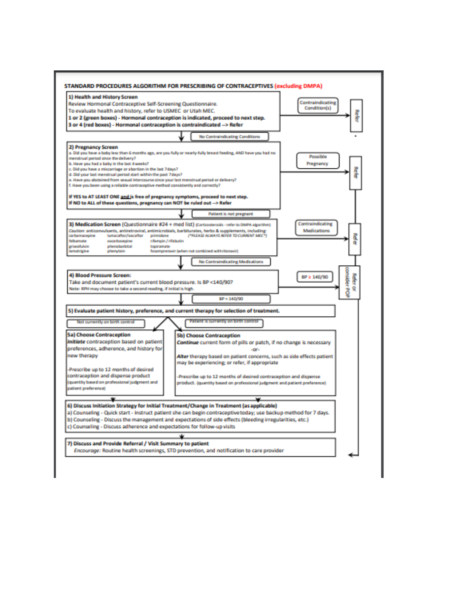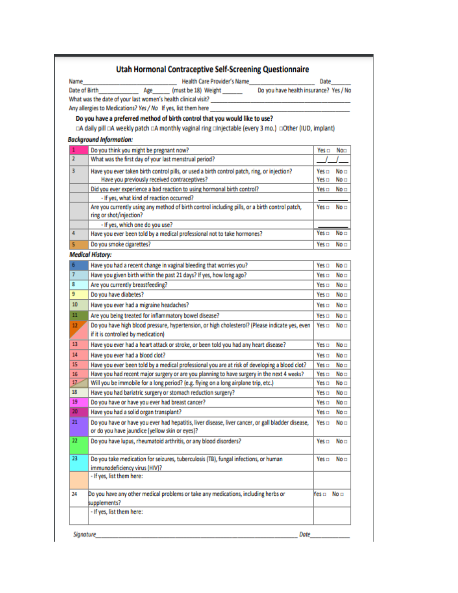|           | <b>Utah Hormonal Contraceptive Self-Screening Questionnaire</b>                                                           |                  |                 |
|-----------|---------------------------------------------------------------------------------------------------------------------------|------------------|-----------------|
| Name      | Health Care Provider's Name                                                                                               | Date             |                 |
|           | Date of Birth Age (must be 18) Weight<br>Do you have health insurance? Yes / No                                           |                  |                 |
|           |                                                                                                                           |                  |                 |
|           |                                                                                                                           |                  |                 |
|           | Do you have a preferred method of birth control that you would like to use?                                               |                  |                 |
|           | DA daily pill DA weekly patch DA monthly vaginal ring Dinjectable (every 3 mo.) DOther (IUD, implant)                     |                  |                 |
|           | <b>Background Information:</b>                                                                                            |                  |                 |
| 1         | Do you think you might be pregnant now?                                                                                   | Yes <b>m</b>     | No⊡             |
| 2         | What was the first day of your last menstrual period?                                                                     |                  |                 |
|           |                                                                                                                           |                  |                 |
| з         | Have you ever taken birth control pills, or used a birth control patch, ring, or injection?                               | Yes o            | No ⊟            |
|           | Have you previously received contraceptives?                                                                              | Yes o            | No⊡             |
|           | Did you ever experience a bad reaction to using hormonal birth control?                                                   | Yes <b>m</b>     | No⊡             |
|           | - If yes, what kind of reaction occurred?                                                                                 |                  |                 |
|           | Are you currently using any method of birth control including pills, or a birth control patch,<br>ring or shot/injection? | Yes <del>⊡</del> | No ⊟            |
|           | - If yes, which one do you use?                                                                                           |                  |                 |
| 4         | Have you ever been told by a medical professional not to take hormones?                                                   | Yes o            | No <sub>1</sub> |
| 5         | Do you smoke cigarettes?                                                                                                  | Yes <b>m</b>     | No <sub>1</sub> |
|           | <b>Medical History:</b>                                                                                                   |                  |                 |
| 6         | Have you had a recent change in vaginal bleeding that worries you?                                                        | Yes o            | No ⊟            |
| 7         | Have you given birth within the past 21 days? If yes, how long ago?                                                       | Yes □            | No <sub>1</sub> |
| 8         | Are you currently breastfeeding?                                                                                          | Yes o            | No <sub>1</sub> |
| 9         | Do you have diabetes?                                                                                                     | Yes o            | No⊡             |
| 10        | Have you ever had a migraine headaches?                                                                                   | Yes □            | No⊡             |
| 11        | Are you being treated for inflammatory bowel disease?                                                                     | Yes o            | No □            |
| 12        | Do you have high blood pressure, hypertension, or high cholesterol? (Please indicate yes, even                            | Yes o            | No <sub>1</sub> |
|           | if it is controlled by medication)                                                                                        |                  |                 |
| 13        | Have you ever had a heart attack or stroke, or been told you had any heart disease?                                       | Yes o            | No <sub>1</sub> |
| 14        | Have you ever had a blood clot?                                                                                           | Yes □            | No⊡             |
| 15        | Have you ever been told by a medical professional you are at risk of developing a blood clot?                             | Yes <b>m</b>     | No⊡             |
| 16        | Have you had recent major surgery or are you planning to have surgery in the next 4 weeks?                                | Yes $\Box$       | No <sub>1</sub> |
| 17        | Will you be immobile for a long period? (e.g. flying on a long airplane trip, etc.)                                       | Yes o            | No □            |
| 18        | Have you had bariatric surgery or stomach reduction surgery?                                                              | Yes <b>m</b>     | No <b>m</b>     |
| 19        | Do you have or have you ever had breast cancer?                                                                           | Yes □            | No⊡             |
| 20        | Have you had a solid organ transplant?                                                                                    | Yes <b>m</b>     | No <sub>1</sub> |
| 21        | Do you have or have you ever had hepatitis, liver disease, liver cancer, or gall bladder disease,                         | Yes □            | No⊡             |
|           | or do you have jaundice (yellow skin or eyes)?                                                                            |                  |                 |
| $22 \,$   | Do you have lupus, rheumatoid arthritis, or any blood disorders?                                                          | Yes <b>m</b>     | No <del>⊡</del> |
|           |                                                                                                                           |                  |                 |
| 23        | Do you take medication for seizures, tuberculosis (TB), fungal infections, or human                                       | Yes □            | No <sub>1</sub> |
|           | immunodeficiency virus (HIV)?                                                                                             |                  |                 |
|           | - If yes, list them here:                                                                                                 |                  |                 |
| 24        | Do you have any other medical problems or take any medications, including herbs or                                        | Yes ⊟            | No <b>m</b>     |
|           | supplements?                                                                                                              |                  |                 |
|           | - If yes, list them here:                                                                                                 |                  |                 |
|           |                                                                                                                           |                  |                 |
| Signature | Date                                                                                                                      |                  |                 |
|           |                                                                                                                           |                  |                 |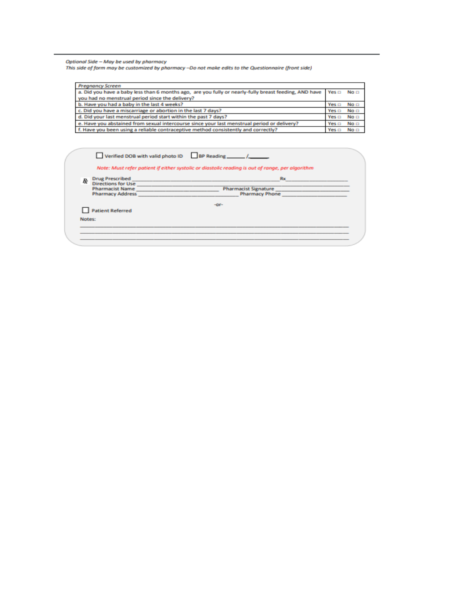Optional Side – May be used by pharmacy<br>This side of form may be customized by pharmacy –Do not make edits to the Questionnaire (front side)

| <b>Pregnancy Screen</b>                                                                                     |                   |                 |
|-------------------------------------------------------------------------------------------------------------|-------------------|-----------------|
| a. Did you have a baby less than 6 months ago, are you fully or nearly-fully breast feeding, AND have Yes a |                   | No <sub>1</sub> |
| you had no menstrual period since the delivery?                                                             |                   |                 |
| b. Have you had a baby in the last 4 weeks?                                                                 | $Yes \Box$        | No <sub>1</sub> |
| c. Did you have a miscarriage or abortion in the last 7 days?                                               | Yes <sub>II</sub> | No <sub>1</sub> |
| d. Did your last menstrual period start within the past 7 days?                                             | Yes $\Box$        | No <sub>1</sub> |
| e. Have you abstained from sexual intercourse since your last menstrual period or delivery?                 | Yes <sub>II</sub> | No <sub>1</sub> |
| f. Have you been using a reliable contraceptive method consistently and correctly?                          | Yes $\Box$        | No <b>D</b>     |

| R      | <b>Drug Prescribed</b>                                                                                                                                                                                                                                          | <b>Rx</b>                   |  |
|--------|-----------------------------------------------------------------------------------------------------------------------------------------------------------------------------------------------------------------------------------------------------------------|-----------------------------|--|
|        | <b>Directions for Use</b><br><b>Pharmacist Name</b>                                                                                                                                                                                                             | <b>Pharmacist Signature</b> |  |
|        | <u> The Common Service Common Service Common Service Common Service Common Service Common Service Common Service Common Service Common Service Common Service Common Service Common Service Common Service Common Service Common</u><br><b>Pharmacy Address</b> | <b>Pharmacy Phone</b>       |  |
|        |                                                                                                                                                                                                                                                                 | $-0r-$                      |  |
|        | <b>Patient Referred</b>                                                                                                                                                                                                                                         |                             |  |
| Notes: |                                                                                                                                                                                                                                                                 |                             |  |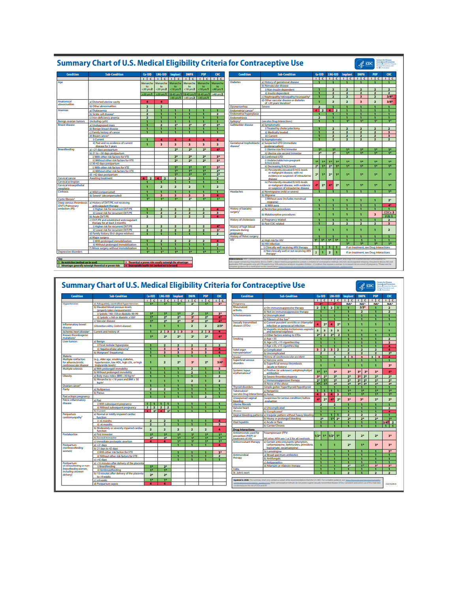|                                                                                                                                                                                                                                                                                                                                                                                                                                                                                                                                             | <b>Summary Chart of U.S. Medical Eligibility Criteria for Contraceptive Use</b>                                                                            |                                                    |                              |                                           |                                                       |                                                      |                                                                           |                                                               |                                                                                                                                                                                                                                                                                                                                                                                                                                   |                         |                                   |                                         |                                  | $\ll$ cod                                      |                                  |                                                 |
|---------------------------------------------------------------------------------------------------------------------------------------------------------------------------------------------------------------------------------------------------------------------------------------------------------------------------------------------------------------------------------------------------------------------------------------------------------------------------------------------------------------------------------------------|------------------------------------------------------------------------------------------------------------------------------------------------------------|----------------------------------------------------|------------------------------|-------------------------------------------|-------------------------------------------------------|------------------------------------------------------|---------------------------------------------------------------------------|---------------------------------------------------------------|-----------------------------------------------------------------------------------------------------------------------------------------------------------------------------------------------------------------------------------------------------------------------------------------------------------------------------------------------------------------------------------------------------------------------------------|-------------------------|-----------------------------------|-----------------------------------------|----------------------------------|------------------------------------------------|----------------------------------|-------------------------------------------------|
| <b>Condition</b>                                                                                                                                                                                                                                                                                                                                                                                                                                                                                                                            | <b>Sub-Condition</b>                                                                                                                                       | Cu-IUD                                             | LNG-IUD                      | Implant                                   | <b>DMPA</b>                                           | POP                                                  | CHC<br>Condition                                                          |                                                               | <b>Sub-Condition</b>                                                                                                                                                                                                                                                                                                                                                                                                              | $Cu-IUD$                |                                   | <b>LNG-IUD</b>                          | Implant                          | <b>DMPA</b>                                    | POP                              | CHC                                             |
|                                                                                                                                                                                                                                                                                                                                                                                                                                                                                                                                             |                                                                                                                                                            | $\Box$<br>Menarche                                 | Menarche                     |                                           | Menarche                                              | <u> 1   c   1   c   1   c   1   c   1   c </u>       | <b>Diabetes</b>                                                           |                                                               | a) History of gestational disease                                                                                                                                                                                                                                                                                                                                                                                                 | $\mathbf{1}$            |                                   |                                         |                                  | 1 <b>C 1 C 1 C 1 C 1 C 1 C 1 C</b>             | -1                               | $\mathbf{1}$                                    |
|                                                                                                                                                                                                                                                                                                                                                                                                                                                                                                                                             |                                                                                                                                                            | to                                                 | to                           | Menarche                                  | to                                                    | Menarche<br>to                                       | Menarchi                                                                  |                                                               | b) Nonvascular disease                                                                                                                                                                                                                                                                                                                                                                                                            |                         |                                   |                                         |                                  |                                                |                                  |                                                 |
|                                                                                                                                                                                                                                                                                                                                                                                                                                                                                                                                             |                                                                                                                                                            | <20 yrs:2<br>$220$ yrs:1                           | $-20$ yrs: $2$<br>$20$ yrs:1 | $18$ yrs 1                                | $<$ 18 yrs: $2$<br>8-45 yrs:1 18-45 yrs:1 18-45 yrs:1 | <18 yrs:1                                            | <40 yrs:1<br>$\geq 40$ yrs: $2$                                           |                                                               | i) Non-insulin dependent<br>ii) Insulin dependent                                                                                                                                                                                                                                                                                                                                                                                 |                         |                                   | $\overline{2}$                          | 2                                |                                                |                                  | $\overline{a}$                                  |
|                                                                                                                                                                                                                                                                                                                                                                                                                                                                                                                                             |                                                                                                                                                            |                                                    |                              |                                           | 545 yrs:1 545 yrs:2 545 yrs:1                         |                                                      |                                                                           |                                                               | c) Nephropathy/retinopathy/neuropathy<br>d) Other vascular disease or diabetes                                                                                                                                                                                                                                                                                                                                                    | п                       |                                   | $\overline{2}$                          | $\overline{\mathbf{2}}$          | $\overline{\mathbf{3}}$                        | $\overline{2}$                   | $3/4*$                                          |
| Anatomical<br>abnormalities                                                                                                                                                                                                                                                                                                                                                                                                                                                                                                                 | a) Distorted uterine cavity                                                                                                                                |                                                    |                              |                                           |                                                       |                                                      |                                                                           |                                                               | of >20 years' duration <sup>1</sup>                                                                                                                                                                                                                                                                                                                                                                                               | $\mathbf{I}$            |                                   | $\overline{\mathbf{2}}$                 | $\overline{\mathbf{2}}$          | 3                                              | $\overline{\mathbf{z}}$          | $3/4*$                                          |
| <b>Anemias</b>                                                                                                                                                                                                                                                                                                                                                                                                                                                                                                                              | b) Other abnormalities<br>a) Thalassemia                                                                                                                   | $\overline{\mathbf{z}}$<br>$\overline{\mathbf{z}}$ | $\overline{\mathbf{z}}$      |                                           |                                                       |                                                      | Dysmenomhea<br><b>Endometrial cancer</b>                                  | Severe                                                        |                                                                                                                                                                                                                                                                                                                                                                                                                                   | $4$   2                 |                                   | $4$   2                                 |                                  |                                                | п.                               |                                                 |
|                                                                                                                                                                                                                                                                                                                                                                                                                                                                                                                                             | b) Sickle cell disease!                                                                                                                                    | $\overline{\mathbf{z}}$                            |                              |                                           | п                                                     |                                                      | $\overline{2}$<br>Endometrial hyperplasia                                 |                                                               |                                                                                                                                                                                                                                                                                                                                                                                                                                   |                         |                                   |                                         |                                  |                                                |                                  |                                                 |
| Benign ovarian tumors                                                                                                                                                                                                                                                                                                                                                                                                                                                                                                                       | c) Iron-deficiency anemia<br>(including cysts)                                                                                                             |                                                    |                              |                                           | п                                                     | п                                                    | <b>Endometriosi</b><br>Epilepsyl<br>п                                     |                                                               | (see also Drug Interactions)                                                                                                                                                                                                                                                                                                                                                                                                      | $\overline{\mathbf{z}}$ |                                   |                                         | п                                | Ŧ                                              |                                  | п<br>r                                          |
| <b>Breast disease</b>                                                                                                                                                                                                                                                                                                                                                                                                                                                                                                                       | a) Undiagnosed mass                                                                                                                                        |                                                    | 2                            | 2"                                        | 2"                                                    | $2^{\circ}$                                          | Gallbladder disease<br>2 <sup>n</sup>                                     |                                                               | a) Symptomatic                                                                                                                                                                                                                                                                                                                                                                                                                    |                         |                                   |                                         |                                  |                                                |                                  |                                                 |
|                                                                                                                                                                                                                                                                                                                                                                                                                                                                                                                                             | b) Benign breast disease<br>c) Family history of cancer                                                                                                    | ٠<br>п                                             |                              |                                           | т                                                     | т                                                    | T                                                                         |                                                               | i) Treated by cholecystectomy<br>ii) Medically treated                                                                                                                                                                                                                                                                                                                                                                            | п                       |                                   | $\overline{\mathbf{z}}$                 | $\overline{\mathbf{z}}$          | $\overline{\mathbf{z}}$                        | $\overline{\mathbf{z}}$          | 3                                               |
|                                                                                                                                                                                                                                                                                                                                                                                                                                                                                                                                             | d) Breast cancer                                                                                                                                           |                                                    |                              |                                           |                                                       |                                                      |                                                                           |                                                               | iii) Current                                                                                                                                                                                                                                                                                                                                                                                                                      |                         |                                   |                                         | 2                                |                                                |                                  |                                                 |
|                                                                                                                                                                                                                                                                                                                                                                                                                                                                                                                                             | i) Current<br>ii) Past and no evidence of current                                                                                                          | п                                                  |                              |                                           |                                                       | Δ                                                    |                                                                           |                                                               | b) Asymptomatic<br>Gestational trophoblastic a) Suspected GTD (immediate                                                                                                                                                                                                                                                                                                                                                          |                         |                                   |                                         | 2                                |                                                | $\overline{2}$                   |                                                 |
| Breastfeeding                                                                                                                                                                                                                                                                                                                                                                                                                                                                                                                               | disease for 5 years                                                                                                                                        | п                                                  | $\overline{\mathbf{3}}$      | $\overline{\mathbf{3}}$<br>2 <sup>n</sup> | $\overline{\mathbf{3}}$<br>2 <sup>o</sup>             | $\overline{\mathbf{3}}$<br>$2*$                      | $\overline{\mathbf{3}}$<br>disease <sup>1</sup><br>4*                     |                                                               | postevacuation)<br>i) Uterine size first trimester                                                                                                                                                                                                                                                                                                                                                                                |                         |                                   |                                         |                                  |                                                |                                  | r                                               |
|                                                                                                                                                                                                                                                                                                                                                                                                                                                                                                                                             | a) <21 days postpartum<br>b) 21 to <30 days postpartum                                                                                                     |                                                    |                              |                                           |                                                       |                                                      |                                                                           |                                                               | ii) Uterine size second trimester                                                                                                                                                                                                                                                                                                                                                                                                 | -15<br>$2^*$            |                                   | r<br>$2^*$                              | 1*<br>$\mathbf{1}^{\bullet}$     | $1^{\circ}$<br>$1^*$                           | 1*<br>1 <sup>o</sup>             | $1*$                                            |
|                                                                                                                                                                                                                                                                                                                                                                                                                                                                                                                                             | i) With other risk factors for VTE<br>ii) Without other risk factors for VTE                                                                               |                                                    |                              | 2 <sup>0</sup><br>2 <sup>0</sup>          | 2 <sup>n</sup><br>$2*$                                | $2*$<br>$2*$                                         | $3*$<br>3 <sup>o</sup>                                                    |                                                               | b) Confirmed GTD<br>i) Undetectable/non-pregnant                                                                                                                                                                                                                                                                                                                                                                                  |                         |                                   |                                         |                                  |                                                |                                  |                                                 |
|                                                                                                                                                                                                                                                                                                                                                                                                                                                                                                                                             | c) 30-42 days postpartum                                                                                                                                   |                                                    |                              |                                           |                                                       |                                                      |                                                                           |                                                               | <b>B hCG levels</b>                                                                                                                                                                                                                                                                                                                                                                                                               | 1 <sup>o</sup>          | 18                                | м<br>T.<br>m                            | $1*$                             | 1 <sup>o</sup>                                 | 1 <sup>o</sup>                   | 1*                                              |
|                                                                                                                                                                                                                                                                                                                                                                                                                                                                                                                                             | i) With other risk factors for VTE<br>ii) Without other risk factors for VTE                                                                               |                                                    |                              | т<br>1 <sup>o</sup>                       | π<br>1 <sup>o</sup>                                   | т<br>$1^*$                                           | 3 <sup>o</sup><br>2 <sup>0</sup>                                          |                                                               | ii) Decreasing B-hCG levels<br>iii) Persistently elevated B-hCG levels                                                                                                                                                                                                                                                                                                                                                            | $2*$                    | <b>TE</b>                         | $2^*$                                   | $\mathbf{r}$                     | $\mathbf{r}$                                   | $\overline{\mathbf{r}}$          | Ŧ.                                              |
|                                                                                                                                                                                                                                                                                                                                                                                                                                                                                                                                             | d) >42 days postpartum                                                                                                                                     |                                                    |                              | 1 <sup>2</sup>                            | 1 <sup>2</sup>                                        | $\mathbf{r}$                                         | $2*$                                                                      |                                                               | or malignant disease, with no<br>evidence or suspicion of intrauterine                                                                                                                                                                                                                                                                                                                                                            | 2 <sup>n</sup>          | T.                                | $2*$<br>r                               | $\mathbf{r}$                     | 1 <sup>o</sup>                                 | 1 <sup>o</sup>                   | 18                                              |
| <b>Cervical cancer</b><br><b>Cervical ectropion</b>                                                                                                                                                                                                                                                                                                                                                                                                                                                                                         | <b>Awaiting treatment</b>                                                                                                                                  | $\overline{2}$                                     | $4$   2                      |                                           | ٠                                                     | п                                                    |                                                                           |                                                               | disease<br>iv) Persistently elevated B-hCG levels                                                                                                                                                                                                                                                                                                                                                                                 |                         |                                   |                                         |                                  |                                                |                                  |                                                 |
| Cervical intraepithelial                                                                                                                                                                                                                                                                                                                                                                                                                                                                                                                    |                                                                                                                                                            | п                                                  | $\overline{2}$               | $\overline{2}$                            | $\overline{\mathbf{z}}$                               | п                                                    | $\overline{\mathbf{z}}$                                                   |                                                               | or malignant disease, with evidence                                                                                                                                                                                                                                                                                                                                                                                               | ۵                       | $2*$                              | 4 <sup>1</sup><br>$\mathbf{z}^*$        | ı.                               | 1 <sup>2</sup>                                 | 1 <sup>o</sup>                   | 1*                                              |
| neoplasia<br>Cirrhosis                                                                                                                                                                                                                                                                                                                                                                                                                                                                                                                      | a) Mild (compensated)                                                                                                                                      |                                                    |                              | 1                                         | п                                                     | п                                                    | Headaches                                                                 |                                                               | or suspicion of intrauterine disease<br>a) Nonmigraine (mild or severe)                                                                                                                                                                                                                                                                                                                                                           |                         |                                   |                                         | т                                | T                                              | п                                | Ŧ.                                              |
|                                                                                                                                                                                                                                                                                                                                                                                                                                                                                                                                             | b) Severe <sup>1</sup> (decompensated)                                                                                                                     | п                                                  | з                            | з                                         | 3<br>$\overline{2}$                                   | з<br>π                                               | $\mathbf{r}$                                                              |                                                               | b) Migraine<br>i) Without aura (includes menstrual                                                                                                                                                                                                                                                                                                                                                                                |                         |                                   |                                         |                                  |                                                |                                  |                                                 |
| Cystic fibrosis <sup>1</sup><br>Deep venous thrombosi                                                                                                                                                                                                                                                                                                                                                                                                                                                                                       | a) History of DVT/PE, not receiving                                                                                                                        | 15                                                 |                              |                                           |                                                       |                                                      |                                                                           |                                                               | migraine)                                                                                                                                                                                                                                                                                                                                                                                                                         | $\blacksquare$          |                                   | $\blacksquare$                          | $\blacksquare$                   | $\mathbf{I}$                                   | n.                               | $2*$                                            |
| (DVT)/Pulmonary<br>embolism (PE)                                                                                                                                                                                                                                                                                                                                                                                                                                                                                                            | anticoagulant therapy<br>i) Higher risk for recurrent DVT/PE                                                                                               |                                                    |                              |                                           |                                                       |                                                      | <b>History of bariatric</b>                                               |                                                               | ii) With aura<br>a) Restrictive procedures                                                                                                                                                                                                                                                                                                                                                                                        | п                       |                                   | п                                       | ٦<br>п                           |                                                | п                                | $\mathbf{I}$                                    |
|                                                                                                                                                                                                                                                                                                                                                                                                                                                                                                                                             | ii) Lower risk for recurrent DVT/PE                                                                                                                        | п                                                  | 2                            | $\overline{\mathbf{z}}$                   | $\overline{\mathbf{z}}$                               | 2                                                    | surgery<br>$\overline{\mathbf{3}}$                                        |                                                               | b) Malabsorptive procedures                                                                                                                                                                                                                                                                                                                                                                                                       | $\mathbf{I}$            |                                   | $\mathbf{I}$                            | ı                                | $\mathbf{1}$                                   | 3                                | $COCs$ : 3                                      |
|                                                                                                                                                                                                                                                                                                                                                                                                                                                                                                                                             | b) Acute DVT/PE<br>c) DVT/PE and established anticoagulant                                                                                                 | $\overline{2}$                                     |                              |                                           |                                                       |                                                      | <b>History of cholestasis</b>                                             |                                                               | a) Pregnancy related                                                                                                                                                                                                                                                                                                                                                                                                              |                         |                                   | ī                                       | ī                                | 1                                              |                                  | P/R <sub>1</sub><br>2                           |
|                                                                                                                                                                                                                                                                                                                                                                                                                                                                                                                                             | therapy for at least 3 months                                                                                                                              |                                                    |                              |                                           |                                                       |                                                      |                                                                           |                                                               | b) Past COC related                                                                                                                                                                                                                                                                                                                                                                                                               |                         |                                   |                                         |                                  |                                                |                                  | з                                               |
|                                                                                                                                                                                                                                                                                                                                                                                                                                                                                                                                             | i) Higher risk for recurrent DVT/PE<br>ii) Lower risk for recurrent DVT/PE                                                                                 | $\overline{\mathbf{z}}$                            |                              |                                           |                                                       |                                                      | a<br><b>History of high blood</b><br>pressure during<br>3"                |                                                               |                                                                                                                                                                                                                                                                                                                                                                                                                                   | п                       |                                   | ٦                                       | 1                                | 1                                              | T.                               | 2                                               |
|                                                                                                                                                                                                                                                                                                                                                                                                                                                                                                                                             | d) Family history (first-degree relatives)                                                                                                                 |                                                    |                              |                                           |                                                       |                                                      | pregnancy<br>$\mathbf{z}$<br><b>History of Pelvic surgery</b>             |                                                               |                                                                                                                                                                                                                                                                                                                                                                                                                                   |                         |                                   |                                         |                                  |                                                |                                  |                                                 |
|                                                                                                                                                                                                                                                                                                                                                                                                                                                                                                                                             | e) Major surgery<br>i) With prolonged immobilization                                                                                                       |                                                    |                              |                                           |                                                       |                                                      | <b>HIV</b>                                                                |                                                               | a) High risk for HIV                                                                                                                                                                                                                                                                                                                                                                                                              |                         | 11 11 11 11 11                    |                                         |                                  |                                                |                                  |                                                 |
|                                                                                                                                                                                                                                                                                                                                                                                                                                                                                                                                             | ii) Without prolonged immobilization                                                                                                                       |                                                    |                              |                                           |                                                       |                                                      | $\overline{2}$                                                            |                                                               | b) HIV infection<br>i) Clinically well receiving ARV therapy                                                                                                                                                                                                                                                                                                                                                                      | 111                     |                                   | 111                                     | T                                | If on treatment, see Drug Interactions         |                                  |                                                 |
| <b>Depressive disorders</b>                                                                                                                                                                                                                                                                                                                                                                                                                                                                                                                 | f) Minor surgery without immobilization                                                                                                                    |                                                    |                              |                                           |                                                       |                                                      |                                                                           |                                                               | ii) Not clinically well or not receiving ARV<br>therapy <sup>*</sup>                                                                                                                                                                                                                                                                                                                                                              | $\overline{2}$          | 1                                 | $\overline{\mathbf{z}}$<br>$\mathbf{1}$ |                                  | If on treatment, see Drug Interactions         |                                  |                                                 |
|                                                                                                                                                                                                                                                                                                                                                                                                                                                                                                                                             | 3 Theoretical or proven risks usually outweigh the advantages<br>2 Advantages generally outweigh theoretical or proven risks 4 Unacceptable health risk (m |                                                    |                              |                                           |                                                       |                                                      | Abbreviations with management                                             | te guidance for a clarification to this classification: http: | in the first property and considerable to the construction of the construction of the construction of the construction<br>ntaining intrauterine device; DMPA « depot medroxyprogesterone acetate; I«initiation of contraceptive method; LNG-LID» levonorges<br>only pill; P/R+patch/ring; SSR+selective rendonin reuptake inhibitor; 1 Condition that exposes a woman to increased risk as a result of pregnancy. "Please see the |                         |                                   |                                         |                                  |                                                |                                  |                                                 |
|                                                                                                                                                                                                                                                                                                                                                                                                                                                                                                                                             | <b>Summary Chart of U.S. Medical Eligibility Criteria for Contraceptive Use</b>                                                                            |                                                    |                              |                                           |                                                       |                                                      |                                                                           |                                                               |                                                                                                                                                                                                                                                                                                                                                                                                                                   |                         |                                   |                                         |                                  |                                                | CDC                              |                                                 |
| <b>Condition</b>                                                                                                                                                                                                                                                                                                                                                                                                                                                                                                                            | <b>Sub-Condition</b>                                                                                                                                       | $Cu-HUD$                                           | <b>LNG-IUD</b>               | Implant                                   | <b>DMPA</b>                                           | POP                                                  | CHC<br><b>Condition</b>                                                   |                                                               | <b>Sub-Condition</b>                                                                                                                                                                                                                                                                                                                                                                                                              |                         | $Cu-IUD$                          |                                         | LNG-IUD Implant                  | <b>DMPA</b>                                    | POR                              | CH                                              |
|                                                                                                                                                                                                                                                                                                                                                                                                                                                                                                                                             | a) Adequately controlled hypertension                                                                                                                      |                                                    |                              |                                           | 2*                                                    | <u> 1   1   1   1   1   1   1   1   1   1</u><br>-11 | regnancy<br>3*                                                            |                                                               |                                                                                                                                                                                                                                                                                                                                                                                                                                   |                         |                                   |                                         | NA*                              | 1 C 1 C 1 C 1 C 1 C 1 C 1 C<br>NA <sup>*</sup> | NA*                              |                                                 |
|                                                                                                                                                                                                                                                                                                                                                                                                                                                                                                                                             | b) Elevated blood pressure levels                                                                                                                          |                                                    |                              |                                           |                                                       |                                                      | Rheumatoid<br>arthritis                                                   |                                                               | a) On immunosuppressive therapy                                                                                                                                                                                                                                                                                                                                                                                                   | $\overline{2}$          | $\mathbf{I}$                      | $\overline{2}$                          | п                                | 2/3'                                           | п                                | $\overline{2}$                                  |
|                                                                                                                                                                                                                                                                                                                                                                                                                                                                                                                                             | (properly taken measurements)<br>i) Systolic 140-159 or diastolic 90-99                                                                                    |                                                    |                              |                                           | 2*                                                    |                                                      | 3 <sup>o</sup><br><b>Schistosomiasis</b>                                  |                                                               | b) Not on immunosuppressive therapy<br>a) Uncomplicated                                                                                                                                                                                                                                                                                                                                                                           |                         |                                   |                                         |                                  | $\overline{\mathbf{z}}$                        | 1                                | $\overline{2}$                                  |
|                                                                                                                                                                                                                                                                                                                                                                                                                                                                                                                                             | ii) Systolic ≥160 or diastolic ≥100°<br>c) Vascular disease                                                                                                | ī.<br>T.                                           | $2*$<br>$2*$                 | $2^*$<br>$2*$                             | $3*$<br>$3*$                                          | $2*$<br>$2*$                                         | 4*                                                                        |                                                               | b) Fibrosis of the liver <sup>1</sup>                                                                                                                                                                                                                                                                                                                                                                                             |                         |                                   |                                         | п                                |                                                |                                  |                                                 |
|                                                                                                                                                                                                                                                                                                                                                                                                                                                                                                                                             | (Ukerative colitis, Crohn's disease)                                                                                                                       | 1                                                  | п.                           | п                                         | $\overline{2}$                                        | $\overline{2}$                                       | Sexually transmitted<br>$2/3*$<br>diseases (STDs)                         |                                                               | a) Current purulent cervicitis or chlamydial<br>infection or gonococcal infection                                                                                                                                                                                                                                                                                                                                                 | 4                       | $2^*$                             | 2 <sup>n</sup><br>$\blacktriangleleft$  | 1                                |                                                | Ŧ                                |                                                 |
|                                                                                                                                                                                                                                                                                                                                                                                                                                                                                                                                             | Current and history of                                                                                                                                     |                                                    | $2 \mid 3$                   | $2 \mid 3$                                | з                                                     | $2 \mid 3$                                           | 4                                                                         |                                                               | b) Vaginitis (including trichomonas vaginal<br>and bacterial vaginosis)                                                                                                                                                                                                                                                                                                                                                           | $\overline{2}$          | $\mathbf{2}$                      | $\mathbf{2}$<br>$\overline{\mathbf{2}}$ | п                                | $\blacksquare$                                 | $\blacksquare$                   |                                                 |
|                                                                                                                                                                                                                                                                                                                                                                                                                                                                                                                                             |                                                                                                                                                            | 1 <sup>2</sup>                                     | 2 <sup>8</sup>               | 2 <sup>n</sup>                            | 2 <sup>n</sup>                                        | 2 <sup>1</sup>                                       | 4 <sup>o</sup>                                                            |                                                               | c) Other factors relating to STDs                                                                                                                                                                                                                                                                                                                                                                                                 |                         | $2n$ 2                            | $2*$<br>$\overline{2}$                  | т                                |                                                | п                                |                                                 |
|                                                                                                                                                                                                                                                                                                                                                                                                                                                                                                                                             | a) Benign                                                                                                                                                  |                                                    |                              |                                           |                                                       |                                                      | Smoking                                                                   |                                                               | a) Age <35<br>b) Age ≥35, <15 cigarettes/day                                                                                                                                                                                                                                                                                                                                                                                      |                         |                                   |                                         |                                  |                                                |                                  | 2<br>з                                          |
|                                                                                                                                                                                                                                                                                                                                                                                                                                                                                                                                             | i) Focal nodular hyperplasia<br>ii) Hepatocellular adenoma <sup>1</sup>                                                                                    |                                                    | $\overline{\mathbf{z}}$      |                                           | 2                                                     | $\overline{\mathbf{z}}$                              | $\overline{\mathbf{z}}$                                                   |                                                               | c) Age ≥35, ≥15 cigarettes/day                                                                                                                                                                                                                                                                                                                                                                                                    |                         |                                   |                                         | п<br>2                           |                                                | п<br>$\overline{\mathbf{z}}$     | Δ                                               |
|                                                                                                                                                                                                                                                                                                                                                                                                                                                                                                                                             | b) Malignant <sup>+</sup> (hepatoma)                                                                                                                       |                                                    |                              | 3                                         | 3                                                     | 3                                                    | Solid organ<br>transplantation                                            |                                                               | a) Complicated<br>b) Uncomplicated                                                                                                                                                                                                                                                                                                                                                                                                |                         | $3 \mid 2 \mid$                   | $3 \mid 2$                              |                                  |                                                |                                  | $2*$                                            |
|                                                                                                                                                                                                                                                                                                                                                                                                                                                                                                                                             | (e.g., older age, smoking, diabetes,                                                                                                                       |                                                    |                              |                                           |                                                       |                                                      | Stroke <sup>1</sup><br><b>Superficial venous</b>                          |                                                               | History of cerebrovascular accident<br>a) Varicose veins                                                                                                                                                                                                                                                                                                                                                                          |                         |                                   |                                         | $2 \mid 3$                       |                                                | $2 \mid 3$                       | ٠                                               |
|                                                                                                                                                                                                                                                                                                                                                                                                                                                                                                                                             | hypertension, low HDL, high LDL, or high<br>triglyceride levels)                                                                                           | n                                                  | $\overline{2}$               | $2"$                                      | 3 <sup>n</sup>                                        | $2^+$                                                | 3/4"<br>disorders                                                         |                                                               | b) Superficial venous thrombosis                                                                                                                                                                                                                                                                                                                                                                                                  |                         | $\mathbf{I}$                      | 1                                       | $\mathbf{I}$                     | $\mathbf{1}$                                   | $\mathbf{I}$                     |                                                 |
|                                                                                                                                                                                                                                                                                                                                                                                                                                                                                                                                             | a) With prolonged immobility                                                                                                                               |                                                    |                              |                                           |                                                       |                                                      | Systemic lupus                                                            |                                                               | (acute or history)<br>a) Positive (or unknown) antiphospholipid                                                                                                                                                                                                                                                                                                                                                                   |                         |                                   | $3*$                                    |                                  | 3 <sup>1</sup>                                 |                                  |                                                 |
|                                                                                                                                                                                                                                                                                                                                                                                                                                                                                                                                             | b) Without prolonged immobility<br>a) Body mass index (BMI) ≥30 kg/m                                                                                       |                                                    |                              |                                           |                                                       |                                                      | <b>irythematosus</b>                                                      |                                                               | antibodies                                                                                                                                                                                                                                                                                                                                                                                                                        | 1*                      | 1 <sup>1</sup><br>3" 2"           | 2 <sup>n</sup>                          | $3*$<br>$2*$                     | $3*$<br>$3''$ $2''$                            | 3 <sup>o</sup><br>$2*$           |                                                 |
|                                                                                                                                                                                                                                                                                                                                                                                                                                                                                                                                             | b) Menarche to <18 years and BMI ≥ 30                                                                                                                      | n                                                  | п                            | 1                                         | $\overline{\mathbf{z}}$                               | T                                                    | $\overline{\mathbf{z}}$                                                   |                                                               | b) Severe thrombocytopenia<br>c) Immunosuppressive therapy                                                                                                                                                                                                                                                                                                                                                                        | $2*$                    | 1 <sup>2</sup>                    | $2^*$                                   | $2*$                             | $2^{*}$ $2^{*}$                                | $2*$                             |                                                 |
|                                                                                                                                                                                                                                                                                                                                                                                                                                                                                                                                             | kg/m <sup>2</sup>                                                                                                                                          |                                                    |                              |                                           |                                                       |                                                      | <b>Thyroid disorders</b>                                                  |                                                               | d) None of the above<br>Simple goiter/hyperthyroid/hypothyroid                                                                                                                                                                                                                                                                                                                                                                    |                         | 1811<br>п                         | $2^{\circ}$                             | $2*$                             | $2^{*}$ $2^{*}$                                | $2*$                             |                                                 |
|                                                                                                                                                                                                                                                                                                                                                                                                                                                                                                                                             | b) Parous                                                                                                                                                  |                                                    |                              |                                           |                                                       |                                                      | Tuberculosis <sup>1</sup>                                                 |                                                               | a) Nonpelvic                                                                                                                                                                                                                                                                                                                                                                                                                      |                         | 111111                            |                                         | $1^*$                            | $\mathbf{r}$                                   | $\overline{\mathbf{1}}$          |                                                 |
|                                                                                                                                                                                                                                                                                                                                                                                                                                                                                                                                             |                                                                                                                                                            |                                                    |                              |                                           |                                                       | $\overline{2}$                                       | п.<br><b>Unexplained vaginal</b>                                          | (see also Drug Interactions)                                  | b) Pelvic<br>(suspicious for serious condition) before                                                                                                                                                                                                                                                                                                                                                                            | $\blacktriangleleft$    |                                   | $3 \quad 4 \quad 3$                     | $1^*$                            | 1 <sup>2</sup>                                 | $\mathbf{r}$                     |                                                 |
|                                                                                                                                                                                                                                                                                                                                                                                                                                                                                                                                             | a) Past                                                                                                                                                    | 111                                                | 1111                         |                                           |                                                       |                                                      | bleeding                                                                  |                                                               | evaluation                                                                                                                                                                                                                                                                                                                                                                                                                        | 4 <sup>8</sup>          | $2*$<br>$\rightarrow$             | $4*$<br>$2*$                            | $3*$                             | $3*$                                           | $2^+$<br>п                       | $4^{\circ}$<br>$2^*$<br>$2*$<br>п.              |
|                                                                                                                                                                                                                                                                                                                                                                                                                                                                                                                                             | i) With subsequent pregnancy<br>ii) Without subsequent pregnancy                                                                                           |                                                    | $2$ $2$ $2$ $2$              |                                           | т                                                     |                                                      | <b>Uterine fibroids</b><br><b>Valvular heart</b>                          |                                                               | a) Uncomplicated                                                                                                                                                                                                                                                                                                                                                                                                                  |                         |                                   |                                         |                                  |                                                | 1                                | $\overline{2}$                                  |
|                                                                                                                                                                                                                                                                                                                                                                                                                                                                                                                                             | b) Current<br>a) Normal or mildly impaired cardiac                                                                                                         |                                                    | $4$ $2^*$ $4$ $2^*$          |                                           | -1                                                    | п                                                    | disease<br>п                                                              |                                                               | b) Complicated <sup>®</sup>                                                                                                                                                                                                                                                                                                                                                                                                       |                         |                                   |                                         | п                                | $\overline{\mathbf{z}}$                        | 1                                | NA*<br>$3*$<br>$2^*$<br>$1^*$<br>$1^*$<br>$2^*$ |
|                                                                                                                                                                                                                                                                                                                                                                                                                                                                                                                                             | function                                                                                                                                                   |                                                    |                              |                                           |                                                       |                                                      |                                                                           | <b>Vaginal bleeding pattern</b>                               | a) Irregular pattern without heavy bleeding<br>b) Heavy or prolonged bleeding                                                                                                                                                                                                                                                                                                                                                     |                         | 2 <sup>0</sup>                    | $1$   $1$<br>$1*2*$                     | $\overline{2}$<br>2 <sup>n</sup> | 2 <sup>n</sup>                                 | $\overline{2}$<br>2 <sup>n</sup> | 1 <sup>o</sup>                                  |
|                                                                                                                                                                                                                                                                                                                                                                                                                                                                                                                                             | i) <6 months<br>ii) a6 months                                                                                                                              | $\overline{\mathbf{z}}$                            | $\overline{2}$               |                                           |                                                       |                                                      | <b>Viral hepatitis</b><br>$\overline{\mathbf{3}}$                         |                                                               | a) Acute or flare<br>b) Carrier/Chronic                                                                                                                                                                                                                                                                                                                                                                                           |                         |                                   |                                         |                                  | п.                                             | 1<br>$\mathbf{1}$                | $3/4^{\circ}$ 2                                 |
|                                                                                                                                                                                                                                                                                                                                                                                                                                                                                                                                             | b) Moderately or severely impaired cardia<br>function                                                                                                      | $\overline{2}$                                     | $\overline{2}$               | $\overline{2}$                            | $\overline{2}$                                        | $\overline{2}$                                       | $\blacktriangleleft$<br><b>Drug Interactions</b>                          |                                                               |                                                                                                                                                                                                                                                                                                                                                                                                                                   |                         |                                   |                                         |                                  |                                                |                                  |                                                 |
|                                                                                                                                                                                                                                                                                                                                                                                                                                                                                                                                             | a) First trimester                                                                                                                                         | r                                                  | 1 <sup>o</sup>               | œ                                         | т                                                     | r                                                    | <b>Antirotrovirals used for</b><br>1 <sup>o</sup><br>prevention (PrEP) or |                                                               | Fosamprenavir (FPV)                                                                                                                                                                                                                                                                                                                                                                                                               |                         | $1/2$ <sup>*</sup> 1 <sup>*</sup> | $1/2*$<br>1 <sup>2</sup>                | $2"$                             | $2*$                                           | $2^*$                            |                                                 |
|                                                                                                                                                                                                                                                                                                                                                                                                                                                                                                                                             | b) Second trimester                                                                                                                                        | $2^*$                                              | $2*$                         | $1*$<br>1 <sup>2</sup>                    | $\mathbf{r}$<br>r                                     | T.<br>$\mathbf{r}$                                   | 1 <sup>2</sup><br>reatment of HIV<br>$1^*$                                |                                                               | All other ARVs are 1 or 2 for all methods.                                                                                                                                                                                                                                                                                                                                                                                        |                         |                                   |                                         |                                  |                                                |                                  |                                                 |
|                                                                                                                                                                                                                                                                                                                                                                                                                                                                                                                                             | c) immediate postseptic abortion<br>a) <21 days                                                                                                            |                                                    |                              |                                           | п                                                     |                                                      | Anticonvulsant therapy<br>$\sqrt{2}$                                      |                                                               | a) Certain anticonvulsants (phenytoin,<br>carbamazepine, barbiturates, primidone                                                                                                                                                                                                                                                                                                                                                  |                         | п                                 |                                         | $2^{\circ}$                      | 1 <sup>8</sup>                                 | $3*$                             | 111<br>$3*$<br>$3*$                             |
| 1 No restriction (method can be used)<br>Hypertension<br><b>Inflammatory bowel</b><br>disease<br>Ischemic heart disease!<br>Known thrombogenic<br>mutations <sup>1</sup><br><b>Liver turnors</b><br>Malaria<br>Multiple risk factors<br>for atherosclerotic<br>cardiovascular disease<br>Multiple sclerosis<br>Obesity<br>Ovarian cancer <sup>1</sup><br>array<br>Past ectopic pregnancy<br><b>Pelvic inflammatory</b><br>disease<br>Peripartum<br>cardiomyopathy <sup>1</sup><br>Postabortion<br>Postpartum<br>(nonbreastfeeding<br>women! | b) 21 days to 42 days<br>i) With other risk factors for VTE                                                                                                |                                                    |                              |                                           |                                                       |                                                      | 3*                                                                        |                                                               | topiramate, oxcarbazepine)<br>b) Lamotrigine                                                                                                                                                                                                                                                                                                                                                                                      |                         |                                   |                                         |                                  |                                                |                                  | $3*$                                            |
|                                                                                                                                                                                                                                                                                                                                                                                                                                                                                                                                             | ii) Without other risk factors for VTE                                                                                                                     |                                                    |                              |                                           |                                                       |                                                      | Antimicrobial<br>2<br>therapy                                             |                                                               | a) Broad spectrum antibiotics                                                                                                                                                                                                                                                                                                                                                                                                     |                         |                                   |                                         |                                  |                                                |                                  |                                                 |
| Postpartum                                                                                                                                                                                                                                                                                                                                                                                                                                                                                                                                  | $c$ ) >42 days                                                                                                                                             |                                                    |                              |                                           |                                                       |                                                      |                                                                           |                                                               | b) Antifungals<br>c) Antiparasitics                                                                                                                                                                                                                                                                                                                                                                                               |                         |                                   |                                         | ٠                                | п.                                             | 1                                | п<br>1                                          |
| (in breastfeeding or non-                                                                                                                                                                                                                                                                                                                                                                                                                                                                                                                   | a) <10 minutes after delivery of the placenta<br>i) Breastfeeding                                                                                          | ī.                                                 | $2^*$                        |                                           |                                                       |                                                      |                                                                           |                                                               | d) Rifampin or rifabutin therapy                                                                                                                                                                                                                                                                                                                                                                                                  |                         | п.                                |                                         | $2*$                             | 18                                             | 3 <sup>n</sup>                   | 3 <sup>o</sup>                                  |
| breastfeeding women,<br>including cesarean                                                                                                                                                                                                                                                                                                                                                                                                                                                                                                  | ii) Nonbreastfeeding                                                                                                                                       | T.                                                 | 1 <sup>o</sup>               |                                           |                                                       |                                                      | <b>SSRIS</b><br>St. John's wort                                           |                                                               |                                                                                                                                                                                                                                                                                                                                                                                                                                   |                         |                                   |                                         | 2                                |                                                | $\overline{2}$                   |                                                 |
| delivery)                                                                                                                                                                                                                                                                                                                                                                                                                                                                                                                                   | b) 10 minutes after delivery of the placenta<br>to <4 weeks<br>$c$ l >4 weeks                                                                              | 2 <sup>n</sup><br>$1^{\circ}$                      | $2^*$<br>$1^*$               |                                           |                                                       |                                                      |                                                                           |                                                               | Updated in 2020. This summary sheet only contains a subset of the recommendations from the U.S. MEC. For complete quidance, see https:/<br>where detection to a retion, quidance htm, Most contraceptive<br>condomerduces the risk of STDs and HIV.                                                                                                                                                                               |                         |                                   |                                         |                                  |                                                |                                  |                                                 |